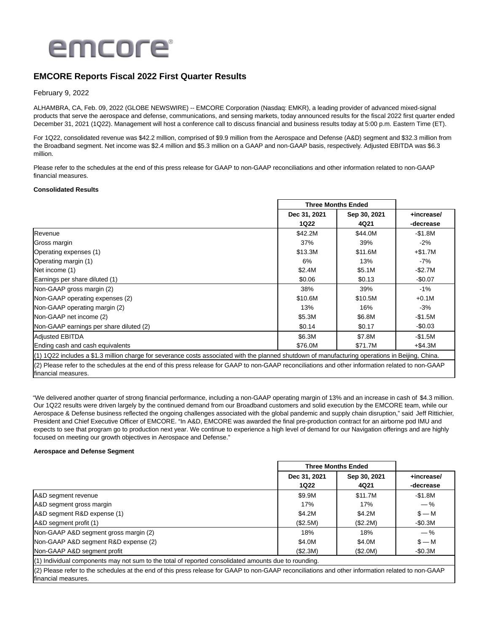

# **EMCORE Reports Fiscal 2022 First Quarter Results**

February 9, 2022

ALHAMBRA, CA, Feb. 09, 2022 (GLOBE NEWSWIRE) -- EMCORE Corporation (Nasdaq: EMKR), a leading provider of advanced mixed-signal products that serve the aerospace and defense, communications, and sensing markets, today announced results for the fiscal 2022 first quarter ended December 31, 2021 (1Q22). Management will host a conference call to discuss financial and business results today at 5:00 p.m. Eastern Time (ET).

For 1Q22, consolidated revenue was \$42.2 million, comprised of \$9.9 million from the Aerospace and Defense (A&D) segment and \$32.3 million from the Broadband segment. Net income was \$2.4 million and \$5.3 million on a GAAP and non-GAAP basis, respectively. Adjusted EBITDA was \$6.3 million.

Please refer to the schedules at the end of this press release for GAAP to non-GAAP reconciliations and other information related to non-GAAP financial measures.

## **Consolidated Results**

|                                                                                                                                                                          |                             | <b>Three Months Ended</b> |                         |
|--------------------------------------------------------------------------------------------------------------------------------------------------------------------------|-----------------------------|---------------------------|-------------------------|
|                                                                                                                                                                          | Dec 31, 2021<br><b>1Q22</b> | Sep 30, 2021<br>4Q21      | +increase/<br>-decrease |
| Revenue                                                                                                                                                                  | \$42.2M                     | \$44.0M                   | $-$1.8M$                |
| Gross margin                                                                                                                                                             | 37%                         | 39%                       | $-2%$                   |
| Operating expenses (1)                                                                                                                                                   | \$13.3M                     | \$11.6M                   | $+ $1.7M$               |
| Operating margin (1)                                                                                                                                                     | 6%                          | 13%                       | $-7%$                   |
| Net income (1)                                                                                                                                                           | \$2.4M                      | \$5.1M                    | $-S2.7M$                |
| Earnings per share diluted (1)                                                                                                                                           | \$0.06                      | \$0.13                    | $-$0.07$                |
| Non-GAAP gross margin (2)                                                                                                                                                | 38%                         | 39%                       | $-1\%$                  |
| Non-GAAP operating expenses (2)                                                                                                                                          | \$10.6M                     | \$10.5M                   | $+0.1M$                 |
| Non-GAAP operating margin (2)                                                                                                                                            | 13%                         | 16%                       | $-3%$                   |
| Non-GAAP net income (2)                                                                                                                                                  | \$5.3M                      | \$6.8M                    | $-$1.5M$                |
| Non-GAAP earnings per share diluted (2)                                                                                                                                  | \$0.14                      | \$0.17                    | $-$0.03$                |
| <b>Adjusted EBITDA</b>                                                                                                                                                   | \$6.3M                      | \$7.8M                    | $-$1.5M$                |
| Ending cash and cash equivalents                                                                                                                                         | \$76.0M                     | \$71.7M                   | $+$ \$4.3M              |
| (1) 1Q22 includes a \$1.3 million charge for severance costs associated with the planned shutdown of manufacturing operations in Beijing, China.                         |                             |                           |                         |
| (2) Please refer to the schedules at the end of this press release for GAAP to non-GAAP reconciliations and other information related to non-GAAP<br>financial measures. |                             |                           |                         |

"We delivered another quarter of strong financial performance, including a non-GAAP operating margin of 13% and an increase in cash of \$4.3 million. Our 1Q22 results were driven largely by the continued demand from our Broadband customers and solid execution by the EMCORE team, while our Aerospace & Defense business reflected the ongoing challenges associated with the global pandemic and supply chain disruption," said Jeff Rittichier, President and Chief Executive Officer of EMCORE. "In A&D, EMCORE was awarded the final pre-production contract for an airborne pod IMU and expects to see that program go to production next year. We continue to experience a high level of demand for our Navigation offerings and are highly focused on meeting our growth objectives in Aerospace and Defense."

## **Aerospace and Defense Segment**

|                                                                                                        | <b>Three Months Ended</b> |              |            |
|--------------------------------------------------------------------------------------------------------|---------------------------|--------------|------------|
|                                                                                                        | Dec 31, 2021              | Sep 30, 2021 | +increase/ |
|                                                                                                        | <b>1Q22</b>               | 4Q21         | -decrease  |
| A&D segment revenue                                                                                    | \$9.9M                    | \$11.7M      | -\$1.8M    |
| A&D segment gross margin                                                                               | 17%                       | 17%          | $-$ %      |
| A&D segment R&D expense (1)                                                                            | \$4.2M                    | \$4.2M       | $$ - M$    |
| A&D segment profit (1)                                                                                 | (\$2.5M)                  | (\$2.2M)     | -\$0.3M    |
| Non-GAAP A&D segment gross margin (2)                                                                  | 18%                       | 18%          | $-\%$      |
| Non-GAAP A&D segment R&D expense (2)                                                                   | \$4.0M                    | \$4.0M       | $$ - M$    |
| Non-GAAP A&D segment profit                                                                            | (\$2.3M)                  | (\$2.0M)     | -\$0.3M    |
| $(1)$ Individual components may not sum to the total of reported consolidated amounts due to rounding. |                           |              |            |

(2) Please refer to the schedules at the end of this press release for GAAP to non-GAAP reconciliations and other information related to non-GAAP financial measures.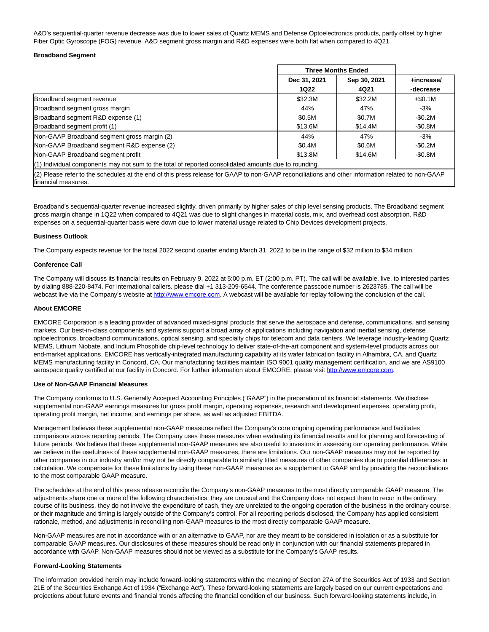A&D's sequential-quarter revenue decrease was due to lower sales of Quartz MEMS and Defense Optoelectronics products, partly offset by higher Fiber Optic Gyroscope (FOG) revenue. A&D segment gross margin and R&D expenses were both flat when compared to 4Q21.

#### **Broadband Segment**

|                                                                                                                                                                          |              | <b>Three Months Ended</b> |            |
|--------------------------------------------------------------------------------------------------------------------------------------------------------------------------|--------------|---------------------------|------------|
|                                                                                                                                                                          | Dec 31, 2021 | Sep 30, 2021              | +increase/ |
|                                                                                                                                                                          | 1Q22         | 4Q21                      | -decrease  |
| Broadband segment revenue                                                                                                                                                | \$32.3M      | \$32.2M                   | $+$0.1M$   |
| Broadband segment gross margin                                                                                                                                           | 44%          | 47%                       | $-3%$      |
| Broadband segment R&D expense (1)                                                                                                                                        | \$0.5M       | \$0.7M                    | -\$0.2M    |
| Broadband segment profit (1)                                                                                                                                             | \$13.6M      | \$14.4M                   | -\$0.8M    |
| Non-GAAP Broadband segment gross margin (2)                                                                                                                              | 44%          | 47%                       | $-3%$      |
| Non-GAAP Broadband segment R&D expense (2)                                                                                                                               | \$0.4M       | \$0.6M                    | -\$0.2M    |
| Non-GAAP Broadband segment profit                                                                                                                                        | \$13.8M      | \$14.6M                   | $-$ \$0.8M |
| $(1)$ Individual components may not sum to the total of reported consolidated amounts due to rounding.                                                                   |              |                           |            |
| (2) Please refer to the schedules at the end of this press release for GAAP to non-GAAP reconciliations and other information related to non-GAAP<br>financial measures. |              |                           |            |

Broadband's sequential-quarter revenue increased slightly, driven primarily by higher sales of chip level sensing products. The Broadband segment gross margin change in 1Q22 when compared to 4Q21 was due to slight changes in material costs, mix, and overhead cost absorption. R&D expenses on a sequential-quarter basis were down due to lower material usage related to Chip Devices development projects.

#### **Business Outlook**

The Company expects revenue for the fiscal 2022 second quarter ending March 31, 2022 to be in the range of \$32 million to \$34 million.

#### **Conference Call**

The Company will discuss its financial results on February 9, 2022 at 5:00 p.m. ET (2:00 p.m. PT). The call will be available, live, to interested parties by dialing 888-220-8474. For international callers, please dial +1 313-209-6544. The conference passcode number is 2623785. The call will be webcast live via the Company's website a[t http://www.emcore.com.](http://www.emcore.com/) A webcast will be available for replay following the conclusion of the call.

## **About EMCORE**

EMCORE Corporation is a leading provider of advanced mixed-signal products that serve the aerospace and defense, communications, and sensing markets. Our best-in-class components and systems support a broad array of applications including navigation and inertial sensing, defense optoelectronics, broadband communications, optical sensing, and specialty chips for telecom and data centers. We leverage industry-leading Quartz MEMS, Lithium Niobate, and Indium Phosphide chip-level technology to deliver state-of-the-art component and system-level products across our end-market applications. EMCORE has vertically-integrated manufacturing capability at its wafer fabrication facility in Alhambra, CA, and Quartz MEMS manufacturing facility in Concord, CA. Our manufacturing facilities maintain ISO 9001 quality management certification, and we are AS9100 aerospace quality certified at our facility in Concord. For further information about EMCORE, please visi[t http://www.emcore.com.](http://www.emcore.com/)

#### **Use of Non-GAAP Financial Measures**

The Company conforms to U.S. Generally Accepted Accounting Principles ("GAAP") in the preparation of its financial statements. We disclose supplemental non-GAAP earnings measures for gross profit margin, operating expenses, research and development expenses, operating profit, operating profit margin, net income, and earnings per share, as well as adjusted EBITDA.

Management believes these supplemental non-GAAP measures reflect the Company's core ongoing operating performance and facilitates comparisons across reporting periods. The Company uses these measures when evaluating its financial results and for planning and forecasting of future periods. We believe that these supplemental non-GAAP measures are also useful to investors in assessing our operating performance. While we believe in the usefulness of these supplemental non-GAAP measures, there are limitations. Our non-GAAP measures may not be reported by other companies in our industry and/or may not be directly comparable to similarly titled measures of other companies due to potential differences in calculation. We compensate for these limitations by using these non-GAAP measures as a supplement to GAAP and by providing the reconciliations to the most comparable GAAP measure.

The schedules at the end of this press release reconcile the Company's non-GAAP measures to the most directly comparable GAAP measure. The adjustments share one or more of the following characteristics: they are unusual and the Company does not expect them to recur in the ordinary course of its business, they do not involve the expenditure of cash, they are unrelated to the ongoing operation of the business in the ordinary course, or their magnitude and timing is largely outside of the Company's control. For all reporting periods disclosed, the Company has applied consistent rationale, method, and adjustments in reconciling non-GAAP measures to the most directly comparable GAAP measure.

Non-GAAP measures are not in accordance with or an alternative to GAAP, nor are they meant to be considered in isolation or as a substitute for comparable GAAP measures. Our disclosures of these measures should be read only in conjunction with our financial statements prepared in accordance with GAAP. Non-GAAP measures should not be viewed as a substitute for the Company's GAAP results.

#### **Forward-Looking Statements**

The information provided herein may include forward-looking statements within the meaning of Section 27A of the Securities Act of 1933 and Section 21E of the Securities Exchange Act of 1934 ("Exchange Act"). These forward-looking statements are largely based on our current expectations and projections about future events and financial trends affecting the financial condition of our business. Such forward-looking statements include, in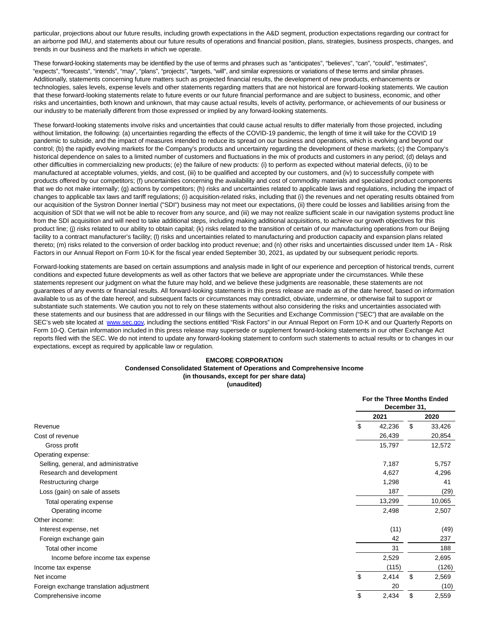particular, projections about our future results, including growth expectations in the A&D segment, production expectations regarding our contract for an airborne pod IMU, and statements about our future results of operations and financial position, plans, strategies, business prospects, changes, and trends in our business and the markets in which we operate.

These forward-looking statements may be identified by the use of terms and phrases such as "anticipates", "believes", "can", "could", "estimates", "expects", "forecasts", "intends", "may", "plans", "projects", "targets, "will", and similar expressions or variations of these terms and similar phrases. Additionally, statements concerning future matters such as projected financial results, the development of new products, enhancements or technologies, sales levels, expense levels and other statements regarding matters that are not historical are forward-looking statements. We caution that these forward-looking statements relate to future events or our future financial performance and are subject to business, economic, and other risks and uncertainties, both known and unknown, that may cause actual results, levels of activity, performance, or achievements of our business or our industry to be materially different from those expressed or implied by any forward-looking statements.

These forward-looking statements involve risks and uncertainties that could cause actual results to differ materially from those projected, including without limitation, the following: (a) uncertainties regarding the effects of the COVID-19 pandemic, the length of time it will take for the COVID 19 pandemic to subside, and the impact of measures intended to reduce its spread on our business and operations, which is evolving and beyond our control; (b) the rapidly evolving markets for the Company's products and uncertainty regarding the development of these markets; (c) the Company's historical dependence on sales to a limited number of customers and fluctuations in the mix of products and customers in any period; (d) delays and other difficulties in commercializing new products; (e) the failure of new products: (i) to perform as expected without material defects, (ii) to be manufactured at acceptable volumes, yields, and cost, (iii) to be qualified and accepted by our customers, and (iv) to successfully compete with products offered by our competitors; (f) uncertainties concerning the availability and cost of commodity materials and specialized product components that we do not make internally; (g) actions by competitors; (h) risks and uncertainties related to applicable laws and regulations, including the impact of changes to applicable tax laws and tariff regulations; (i) acquisition-related risks, including that (i) the revenues and net operating results obtained from our acquisition of the Systron Donner Inertial ("SDI") business may not meet our expectations, (ii) there could be losses and liabilities arising from the acquisition of SDI that we will not be able to recover from any source, and (iii) we may not realize sufficient scale in our navigation systems product line from the SDI acquisition and will need to take additional steps, including making additional acquisitions, to achieve our growth objectives for this product line; (j) risks related to our ability to obtain capital; (k) risks related to the transition of certain of our manufacturing operations from our Beijing facility to a contract manufacturer's facility; (l) risks and uncertainties related to manufacturing and production capacity and expansion plans related thereto; (m) risks related to the conversion of order backlog into product revenue; and (n) other risks and uncertainties discussed under Item 1A - Risk Factors in our Annual Report on Form 10-K for the fiscal year ended September 30, 2021, as updated by our subsequent periodic reports.

Forward-looking statements are based on certain assumptions and analysis made in light of our experience and perception of historical trends, current conditions and expected future developments as well as other factors that we believe are appropriate under the circumstances. While these statements represent our judgment on what the future may hold, and we believe these judgments are reasonable, these statements are not guarantees of any events or financial results. All forward-looking statements in this press release are made as of the date hereof, based on information available to us as of the date hereof, and subsequent facts or circumstances may contradict, obviate, undermine, or otherwise fail to support or substantiate such statements. We caution you not to rely on these statements without also considering the risks and uncertainties associated with these statements and our business that are addressed in our filings with the Securities and Exchange Commission ("SEC") that are available on the SEC's web site located at [www.sec.gov,](http://www.sec.gov/) including the sections entitled "Risk Factors" in our Annual Report on Form 10-K and our Quarterly Reports on Form 10-Q. Certain information included in this press release may supersede or supplement forward-looking statements in our other Exchange Act reports filed with the SEC. We do not intend to update any forward-looking statement to conform such statements to actual results or to changes in our expectations, except as required by applicable law or regulation.

## **EMCORE CORPORATION**

#### **Condensed Consolidated Statement of Operations and Comprehensive Income (in thousands, except for per share data) (unaudited)**

|                                         | For the Three Months Ended<br>December 31, |        |    |        |
|-----------------------------------------|--------------------------------------------|--------|----|--------|
|                                         |                                            | 2021   |    | 2020   |
| Revenue                                 | \$                                         | 42,236 | \$ | 33,426 |
| Cost of revenue                         |                                            | 26,439 |    | 20,854 |
| Gross profit                            |                                            | 15,797 |    | 12,572 |
| Operating expense:                      |                                            |        |    |        |
| Selling, general, and administrative    |                                            | 7,187  |    | 5,757  |
| Research and development                |                                            | 4,627  |    | 4,296  |
| Restructuring charge                    |                                            | 1,298  |    | 41     |
| Loss (gain) on sale of assets           |                                            | 187    |    | (29)   |
| Total operating expense                 |                                            | 13,299 |    | 10,065 |
| Operating income                        |                                            | 2,498  |    | 2,507  |
| Other income:                           |                                            |        |    |        |
| Interest expense, net                   |                                            | (11)   |    | (49)   |
| Foreign exchange gain                   |                                            | 42     |    | 237    |
| Total other income                      |                                            | 31     |    | 188    |
| Income before income tax expense        |                                            | 2,529  |    | 2,695  |
| Income tax expense                      |                                            | (115)  |    | (126)  |
| Net income                              | \$                                         | 2,414  | \$ | 2,569  |
| Foreign exchange translation adjustment |                                            | 20     |    | (10)   |
| Comprehensive income                    | \$                                         | 2,434  | \$ | 2,559  |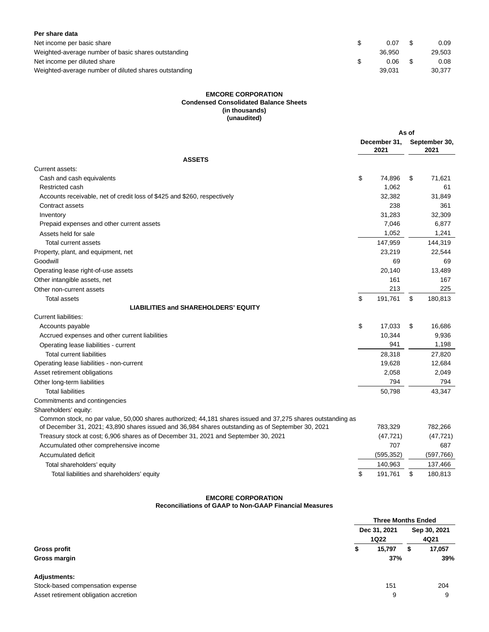| 0.09   |
|--------|
| 29.503 |
| 0.08   |
| 30.377 |
|        |

## **EMCORE CORPORATION Condensed Consolidated Balance Sheets (in thousands) (unaudited)**

**As of**

|                                                                                                             | December 31,<br>2021 |            | September 30,<br>2021 |           |
|-------------------------------------------------------------------------------------------------------------|----------------------|------------|-----------------------|-----------|
| <b>ASSETS</b>                                                                                               |                      |            |                       |           |
| Current assets:                                                                                             |                      |            |                       |           |
| Cash and cash equivalents                                                                                   | \$                   | 74,896     | S                     | 71,621    |
| Restricted cash                                                                                             |                      | 1,062      |                       | 61        |
| Accounts receivable, net of credit loss of \$425 and \$260, respectively                                    |                      | 32,382     |                       | 31,849    |
| Contract assets                                                                                             |                      | 238        |                       | 361       |
| Inventory                                                                                                   |                      | 31,283     |                       | 32,309    |
| Prepaid expenses and other current assets                                                                   |                      | 7,046      |                       | 6,877     |
| Assets held for sale                                                                                        |                      | 1,052      |                       | 1,241     |
| Total current assets                                                                                        |                      | 147,959    |                       | 144,319   |
| Property, plant, and equipment, net                                                                         |                      | 23,219     |                       | 22,544    |
| Goodwill                                                                                                    |                      | 69         |                       | 69        |
| Operating lease right-of-use assets                                                                         |                      | 20,140     |                       | 13,489    |
| Other intangible assets, net                                                                                |                      | 161        |                       | 167       |
| Other non-current assets                                                                                    |                      | 213        |                       | 225       |
| <b>Total assets</b>                                                                                         | \$                   | 191,761    | \$                    | 180,813   |
| <b>LIABILITIES and SHAREHOLDERS' EQUITY</b>                                                                 |                      |            |                       |           |
| Current liabilities:                                                                                        |                      |            |                       |           |
| Accounts payable                                                                                            | \$                   | 17,033     | \$                    | 16,686    |
| Accrued expenses and other current liabilities                                                              |                      | 10,344     |                       | 9,936     |
| Operating lease liabilities - current                                                                       |                      | 941        |                       | 1,198     |
| <b>Total current liabilities</b>                                                                            |                      | 28,318     |                       | 27,820    |
| Operating lease liabilities - non-current                                                                   |                      | 19,628     |                       | 12,684    |
| Asset retirement obligations                                                                                |                      | 2,058      |                       | 2,049     |
| Other long-term liabilities                                                                                 |                      | 794        |                       | 794       |
| <b>Total liabilities</b>                                                                                    |                      | 50,798     |                       | 43,347    |
| Commitments and contingencies                                                                               |                      |            |                       |           |
| Shareholders' equity:                                                                                       |                      |            |                       |           |
| Common stock, no par value, 50,000 shares authorized; 44,181 shares issued and 37,275 shares outstanding as |                      |            |                       |           |
| of December 31, 2021; 43,890 shares issued and 36,984 shares outstanding as of September 30, 2021           |                      | 783,329    |                       | 782,266   |
| Treasury stock at cost; 6,906 shares as of December 31, 2021 and September 30, 2021                         |                      | (47, 721)  |                       | (47, 721) |
| Accumulated other comprehensive income                                                                      |                      | 707        |                       | 687       |
| Accumulated deficit                                                                                         |                      | (595, 352) |                       | (597,766) |
| Total shareholders' equity                                                                                  |                      | 140,963    |                       | 137,466   |
| Total liabilities and shareholders' equity                                                                  | \$                   | 191,761    | \$                    | 180,813   |

## **EMCORE CORPORATION**

**Reconciliations of GAAP to Non-GAAP Financial Measures**

|                                       |                             |                      | <b>Three Months Ended</b> |  |
|---------------------------------------|-----------------------------|----------------------|---------------------------|--|
| Gross profit                          | Dec 31, 2021<br><b>1Q22</b> | Sep 30, 2021<br>4Q21 |                           |  |
|                                       | 15,797                      | 17,057<br>S          |                           |  |
| Gross margin                          | 37%                         |                      | 39%                       |  |
| <b>Adjustments:</b>                   |                             |                      |                           |  |
| Stock-based compensation expense      | 151                         |                      | 204                       |  |
| Asset retirement obligation accretion | 9                           |                      | 9                         |  |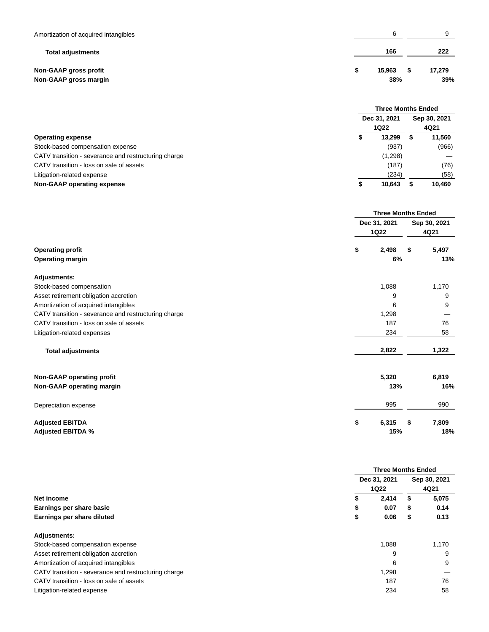| Amortization of acquired intangibles | ี      |        |
|--------------------------------------|--------|--------|
| <b>Total adjustments</b>             | 166    | 222    |
| Non-GAAP gross profit                | 15.963 | 17,279 |
| Non-GAAP gross margin                | 38%    | 39%    |

|                                                      | <b>Three Months Ended</b> |                             |  |                      |  |
|------------------------------------------------------|---------------------------|-----------------------------|--|----------------------|--|
|                                                      |                           | Dec 31, 2021<br><b>1Q22</b> |  | Sep 30, 2021<br>4Q21 |  |
| <b>Operating expense</b>                             | \$                        | 13,299                      |  | 11,560               |  |
| Stock-based compensation expense                     |                           | (937)                       |  | (966)                |  |
| CATV transition - severance and restructuring charge |                           | (1,298)                     |  |                      |  |
| CATV transition - loss on sale of assets             |                           | (187)                       |  | (76)                 |  |
| Litigation-related expense                           |                           | (234)                       |  | (58)                 |  |
| Non-GAAP operating expense                           | S                         | 10,643                      |  | 10,460               |  |

|                                                      |    | <b>Three Months Ended</b>   |    |                      |
|------------------------------------------------------|----|-----------------------------|----|----------------------|
|                                                      |    | Dec 31, 2021<br><b>1Q22</b> |    | Sep 30, 2021<br>4Q21 |
| <b>Operating profit</b><br><b>Operating margin</b>   | \$ | 2,498<br>6%                 | \$ | 5,497<br>13%         |
| <b>Adjustments:</b>                                  |    |                             |    |                      |
| Stock-based compensation                             |    | 1,088                       |    | 1,170                |
| Asset retirement obligation accretion                |    | 9                           |    | 9                    |
| Amortization of acquired intangibles                 |    | 6                           |    | 9                    |
| CATV transition - severance and restructuring charge |    | 1,298                       |    |                      |
| CATV transition - loss on sale of assets             |    | 187                         |    | 76                   |
| Litigation-related expenses                          |    | 234                         |    | 58                   |
| <b>Total adjustments</b>                             |    | 2,822                       |    | 1,322                |
| Non-GAAP operating profit                            |    | 5,320                       |    | 6,819                |
| Non-GAAP operating margin                            |    | 13%                         |    | 16%                  |
| Depreciation expense                                 |    | 995                         |    | 990                  |
| <b>Adjusted EBITDA</b><br><b>Adjusted EBITDA %</b>   | \$ | 6,315<br>15%                | \$ | 7,809<br>18%         |

|                                                      | <b>Three Months Ended</b> |                             |   |                      |
|------------------------------------------------------|---------------------------|-----------------------------|---|----------------------|
|                                                      |                           | Dec 31, 2021<br><b>1Q22</b> |   | Sep 30, 2021<br>4Q21 |
| Net income                                           |                           | 2,414                       | S | 5,075                |
| Earnings per share basic                             |                           | 0.07                        | S | 0.14                 |
| Earnings per share diluted                           |                           | 0.06                        | S | 0.13                 |
| <b>Adjustments:</b>                                  |                           |                             |   |                      |
| Stock-based compensation expense                     |                           | 1,088                       |   | 1,170                |
| Asset retirement obligation accretion                |                           | 9                           |   | 9                    |
| Amortization of acquired intangibles                 |                           | 6                           |   | 9                    |
| CATV transition - severance and restructuring charge |                           | 1,298                       |   |                      |
| CATV transition - loss on sale of assets             |                           | 187                         |   | 76                   |
| Litigation-related expense                           |                           | 234                         |   | 58                   |